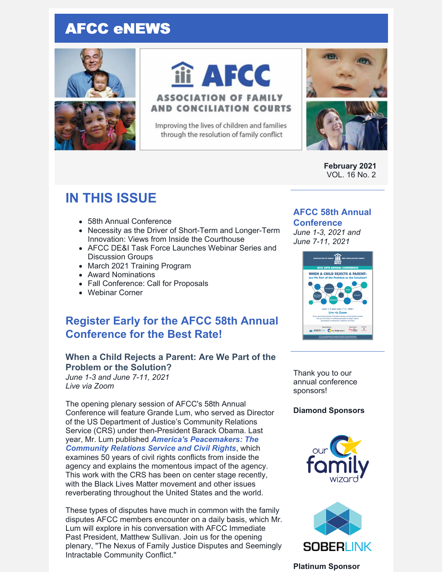# AFCC eNEWS





# iii AFCC **ASSOCIATION OF FAMILY**

Improving the lives of children and families through the resolution of family conflict

**AND CONCILIATION COURTS** 



**February 2021** VOL. 16 No. 2

# **IN THIS ISSUE**

- 58th Annual Conference
- Necessity as the Driver of Short-Term and Longer-Term Innovation: Views from Inside the Courthouse
- AFCC DE&I Task Force Launches Webinar Series and Discussion Groups
- March 2021 Training Program
- Award Nominations
- Fall Conference: Call for Proposals
- Webinar Corner

# **Register Early for the AFCC 58th Annual Conference for the Best Rate!**

### **When a Child Rejects a Parent: Are We Part of the Problem or the Solution?**

*June 1-3 and June 7-11, 2021 Live via Zoom*

The opening plenary session of AFCC's 58th Annual Conference will feature Grande Lum, who served as Director of the US Department of Justice's Community Relations Service (CRS) under then-President Barack Obama. Last year, Mr. Lum published *America's [Peacemakers:](https://upress.missouri.edu/9780826222169/americas-peacemakers/) The Community Relations Service and Civil Rights*, which examines 50 years of civil rights conflicts from inside the agency and explains the momentous impact of the agency. This work with the CRS has been on center stage recently, with the Black Lives Matter movement and other issues reverberating throughout the United States and the world.

These types of disputes have much in common with the family disputes AFCC members encounter on a daily basis, which Mr. Lum will explore in his conversation with AFCC Immediate Past President, Matthew Sullivan. Join us for the opening plenary, "The Nexus of Family Justice Disputes and Seemingly Intractable Community Conflict."

# **AFCC 58th Annual**

## **Conference**

*June 1-3, 2021 and June 7-11, 2021*



Thank you to our annual conference sponsors!

#### **Diamond Sponsors**





#### **Platinum Sponsor**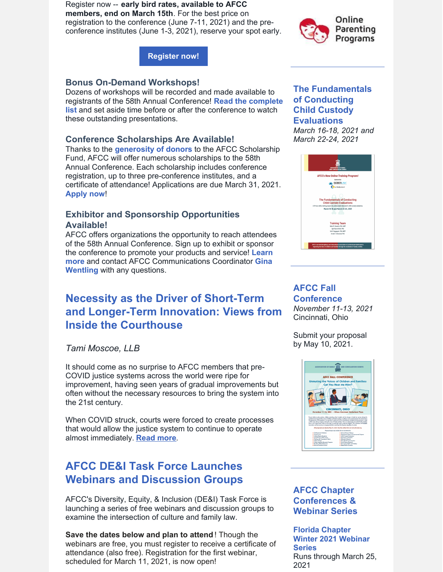Register now -- **early bird rates, available to AFCC members, end on March 15th**. For the best price on registration to the conference (June 7-11, 2021) and the preconference institutes (June 1-3, 2021), reserve your spot early.



**[Register](https://www.afccnet.org/Conferences-Training/AFCC-Conferences/ctl/ViewConference/ConferenceID/227/mid/615) now!**

### **Bonus On-Demand Workshops!**

Dozens of workshops will be recorded and made available to registrants of the 58th Annual [Conference!](https://files.constantcontact.com/6beb60a3701/27672abc-4538-4166-9158-90cdb11d4374.pdf) **Read the complete list** and set aside time before or after the conference to watch these outstanding presentations.

### **Conference Scholarships Are Available!**

Thanks to the **[generosity](https://www.afccnet.org/Portals/0/Scholarship_Fund_Contributors_2020-21_1.pdf) of donors** to the AFCC Scholarship Fund, AFCC will offer numerous scholarships to the 58th Annual Conference. Each scholarship includes conference registration, up to three pre-conference institutes, and a certificate of attendance! Applications are due March 31, 2021. **[Apply](https://www.surveymonkey.com/r/58thAnnualScholarship) now**!

### **Exhibitor and Sponsorship Opportunities Available!**

AFCC offers organizations the opportunity to reach attendees of the 58th Annual Conference. Sign up to exhibit or sponsor the conference to promote your products and service! **Learn more** and contact AFCC [Communications](mailto:gwentling@afccnet.org) Coordinator **Gina Wentling** with any questions.

# **Necessity as the Driver of Short-Term and Longer-Term Innovation: Views from Inside the Courthouse**

*Tami Moscoe, LLB*

It should come as no surprise to AFCC members that pre-COVID justice systems across the world were ripe for improvement, having seen years of gradual improvements but often without the necessary resources to bring the system into the 21st century.

When COVID struck, courts were forced to create processes that would allow the justice system to continue to operate almost immediately. **[Read](https://files.constantcontact.com/6beb60a3701/abad0a2f-3ad7-4da3-9945-0cf7600474fc.pdf) more**.

# **AFCC DE&I Task Force Launches Webinars and Discussion Groups**

AFCC's Diversity, Equity, & Inclusion (DE&I) Task Force is launching a series of free webinars and discussion groups to examine the intersection of culture and family law.

**Save the dates below and plan to attend** ! Though the webinars are free, you must register to receive a certificate of attendance (also free). Registration for the first webinar, scheduled for March 11, 2021, is now open!

### **The Fundamentals of Conducting Child Custody Evaluations**

*March 16-18, 2021 and March 22-24, 2021*



#### **AFCC Fall [Conference](https://www.afccnet.org/Conferences-Training/AFCC-Conferences/ctl/ViewConference/ConferenceID/362/mid/615)** *November 11-13, 2021* Cincinnati, Ohio

Submit your proposal by May 10, 2021.



### **AFCC Chapter Conferences & Webinar Series**

**Florida Chapter Winter 2021 [Webinar](https://files.constantcontact.com/6beb60a3701/66935005-d480-42e6-a1bc-aa203624d24a.pdf) Series** Runs through March 25, 2021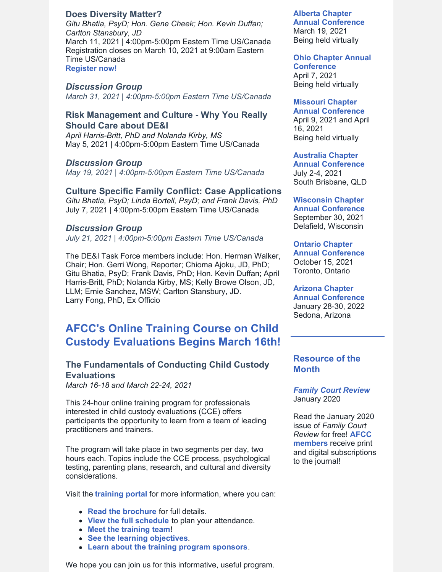#### **Does [Diversity](https://www.afccnet.org/Conferences-Training/Webinars/ctl/ViewConference/ConferenceID/418/mid/772) Matter?**

*Gitu Bhatia, PsyD; Hon. Gene Cheek; Hon. Kevin Duffan; Carlton Stansbury, JD* March 11, 2021 | 4:00pm-5:00pm Eastern Time US/Canada Registration closes on March 10, 2021 at 9:00am Eastern Time US/Canada **[Register](https://www.afccnet.org/Conferences-Training/Webinars/ctl/ViewConference/ConferenceID/418/mid/772) now!**

#### *Discussion Group*

*March 31, 2021 | 4:00pm-5:00pm Eastern Time US/Canada*

#### **Risk Management and Culture - Why You Really Should Care about DE&I**

*April Harris-Britt, PhD and Nolanda Kirby, MS* May 5, 2021 | 4:00pm-5:00pm Eastern Time US/Canada

#### *Discussion Group*

*May 19, 2021 | 4:00pm-5:00pm Eastern Time US/Canada*

#### **Culture Specific Family Conflict: Case Applications**

*Gitu Bhatia, PsyD; Linda Bortell, PsyD; and Frank Davis, PhD* July 7, 2021 | 4:00pm-5:00pm Eastern Time US/Canada

#### *Discussion Group*

*July 21, 2021 | 4:00pm-5:00pm Eastern Time US/Canada*

The DE&I Task Force members include: Hon. Herman Walker, Chair; Hon. Gerri Wong, Reporter; Chioma Ajoku, JD, PhD; Gitu Bhatia, PsyD; Frank Davis, PhD; Hon. Kevin Duffan; April Harris-Britt, PhD; Nolanda Kirby, MS; Kelly Browe Olson, JD, LLM; Ernie Sanchez, MSW; Carlton Stansbury, JD. Larry Fong, PhD, Ex Officio

# **AFCC's Online Training Course on Child Custody Evaluations Begins March 16th!**

### **The Fundamentals of Conducting Child Custody Evaluations**

*March 16-18 and March 22-24, 2021*

This 24-hour online training program for professionals interested in child custody evaluations (CCE) offers participants the opportunity to learn from a team of leading practitioners and trainers.

The program will take place in two segments per day, two hours each. Topics include the CCE process, psychological testing, parenting plans, research, and cultural and diversity considerations.

Visit the **[training](https://www.afccnet.org/march2021training/) portal** for more information, where you can:

- **Read the [brochure](https://www.afccnet.org/Portals/0/AFCC V-Training 1220 571%c3%98%c3%98-3.pdf)** for full details.
- **View the full [schedule](https://www.afccnet.org/march2021training/Training-Schedule)** to plan your attendance.
- **Meet the [training](https://www.afccnet.org/march2021training/Training-Team) team**!
- **See the learning [objectives](https://www.afccnet.org/march2021training/Learning-Objectives)**.
- **Learn about the training program [sponsors](https://www.afccnet.org/march2021training/Sponsors)**.

We hope you can join us for this informative, useful program.

#### **Alberta Chapter**

**Annual [Conference](https://www.afccalberta.org/)** March 19, 2021 Being held virtually

### **Ohio Chapter Annual**

**[Conference](http://ohioafcc.org/)** April 7, 2021 Being held virtually

#### **Missouri Chapter**

**Annual [Conference](http://www.moafcc.org/events.html)** April 9, 2021 and April

16, 2021 Being held virtually

#### **Australia Chapter**

**Annual [Conference](http://afccnet.org.au/conferences/)** July 2-4, 2021 South Brisbane, QLD

#### **Wisconsin Chapter**

**Annual [Conference](http://www.afccwi.org/Index.html)** September 30, 2021 Delafield, Wisconsin

#### **Ontario Chapter**

**Annual [Conference](https://afccontario.ca/)** October 15, 2021 Toronto, Ontario

#### **Arizona Chapter**

**Annual [Conference](https://www.azafcc.org/)** January 28-30, 2022 Sedona, Arizona

#### **Resource of the Month**

*Family Court [Review](https://onlinelibrary.wiley.com/toc/17441617/2020/58/1)* January 2020

Read the January 2020 issue of *Family Court Review* for free! **AFCC [members](https://www.afccnet.org/Membership/Member-Categories)** receive print and digital subscriptions to the journal!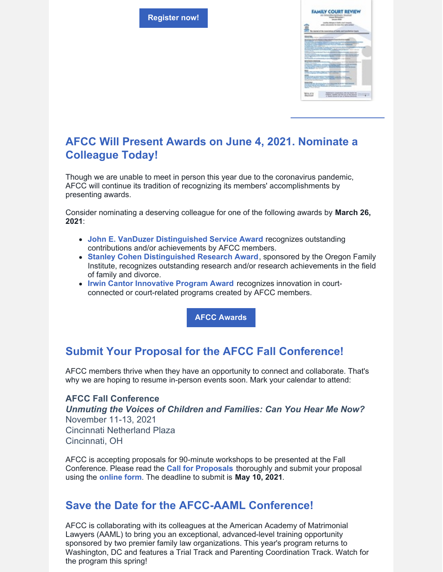**[Register](https://www.afccnet.org/march2021training) now!**



# **AFCC Will Present Awards on June 4, 2021. Nominate a Colleague Today!**

Though we are unable to meet in person this year due to the coronavirus pandemic, AFCC will continue its tradition of recognizing its members' accomplishments by presenting awards.

Consider nominating a deserving colleague for one of the following awards by **March 26, 2021**:

- **John E. VanDuzer [Distinguished](https://www.afccnet.org/About/Awards/ctl/ViewAward/AwardID/1/mid/543) Service Award** recognizes outstanding contributions and/or achievements by AFCC members.
- **Stanley Cohen [Distinguished](https://www.afccnet.org/About/Awards/ctl/ViewAward/AwardID/2/mid/543) Research Award**, sponsored by the Oregon Family Institute, recognizes outstanding research and/or research achievements in the field of family and divorce.
- **Irwin Cantor [Innovative](https://www.afccnet.org/About/Awards/ctl/ViewAward/AwardID/3/mid/543) Program Award** recognizes innovation in courtconnected or court-related programs created by AFCC members.

**AFCC [Awards](https://www.afccnet.org/About/Awards)**

# **Submit Your Proposal for the AFCC Fall Conference!**

AFCC members thrive when they have an opportunity to connect and collaborate. That's why we are hoping to resume in-person events soon. Mark your calendar to attend:

### **AFCC Fall Conference**

*Unmuting the Voices of Children and Families: Can You Hear Me Now?* November 11-13, 2021 Cincinnati Netherland Plaza Cincinnati, OH

AFCC is accepting proposals for 90-minute workshops to be presented at the Fall Conference. Please read the **Call for [Proposals](https://www.afccnet.org/Portals/0/AFCC Cincinnati 2021 - CFP.pdf)** thoroughly and submit your proposal using the **[online](https://www.surveymonkey.com/r/AFCC2021FallProposals) form**. The deadline to submit is **May 10, 2021**.

# **Save the Date for the AFCC-AAML Conference!**

AFCC is collaborating with its colleagues at the American Academy of Matrimonial Lawyers (AAML) to bring you an exceptional, advanced-level training opportunity sponsored by two premier family law organizations. This year's program returns to Washington, DC and features a Trial Track and Parenting Coordination Track. Watch for the program this spring!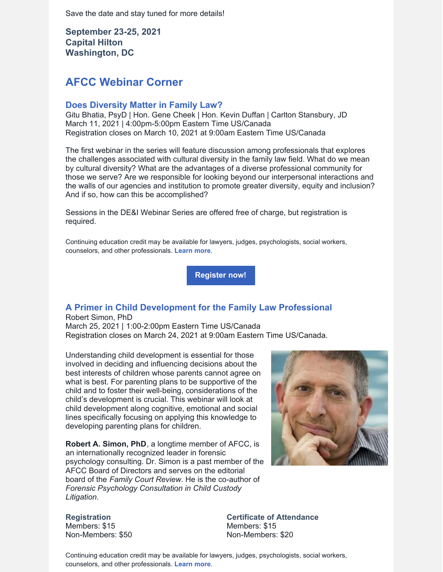Save the date and stay tuned for more details!

**September 23-25, 2021 Capital Hilton Washington, DC**

# **AFCC Webinar Corner**

#### **Does [Diversity](https://www.afccnet.org/Conferences-Training/Webinars/ctl/ViewConference/ConferenceID/418/mid/772) Matter in Family Law?**

Gitu Bhatia, PsyD | Hon. Gene Cheek | Hon. Kevin Duffan | Carlton Stansbury, JD March 11, 2021 | 4:00pm-5:00pm Eastern Time US/Canada Registration closes on March 10, 2021 at 9:00am Eastern Time US/Canada

The first webinar in the series will feature discussion among professionals that explores the challenges associated with cultural diversity in the family law field. What do we mean by cultural diversity? What are the advantages of a diverse professional community for those we serve? Are we responsible for looking beyond our interpersonal interactions and the walls of our agencies and institution to promote greater diversity, equity and inclusion? And if so, how can this be accomplished?

Sessions in the DE&I Webinar Series are offered free of charge, but registration is required.

Continuing education credit may be available for lawyers, judges, psychologists, social workers, counselors, and other professionals. **[Learn](https://www.afccnet.org/Conferences-Training/Webinars/ctl/ViewConference/ConferenceID/418/mid/772) more**.

**[Register](https://www.afccnet.org/Conferences-Training/Webinars/ctl/ViewConference/ConferenceID/418/mid/772) now!**

## **A Primer in Child [Development](https://www.afccnet.org/Conferences-Training/Webinars/ctl/ViewConference/ConferenceID/364/mid/772) for the Family Law Professional**

Robert Simon, PhD March 25, 2021 | 1:00-2:00pm Eastern Time US/Canada Registration closes on March 24, 2021 at 9:00am Eastern Time US/Canada.

Understanding child development is essential for those involved in deciding and influencing decisions about the best interests of children whose parents cannot agree on what is best. For parenting plans to be supportive of the child and to foster their well-being, considerations of the child's development is crucial. This webinar will look at child development along cognitive, emotional and social lines specifically focusing on applying this knowledge to developing parenting plans for children.

**Robert A. Simon, PhD**, a longtime member of AFCC, is an internationally recognized leader in forensic psychology consulting. Dr. Simon is a past member of the AFCC Board of Directors and serves on the editorial board of the *Family Court Review*. He is the co-author of *Forensic Psychology Consultation in Child Custody Litigation*.

**Registration** Members: \$15 Non-Members: \$50 **Certificate of Attendance** Members: \$15 Non-Members: \$20

Continuing education credit may be available for lawyers, judges, psychologists, social workers, counselors, and other professionals. **[Learn](https://www.afccnet.org/Conferences-Training/Webinars/ctl/ViewConference/ConferenceID/364/mid/772) more**.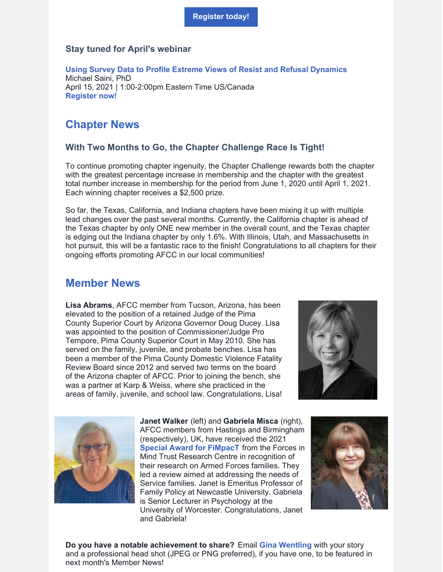#### **Stay tuned for April's webinar**

**Using Survey Data to Profile Extreme Views of Resist and Refusal [Dynamics](https://www.afccnet.org/Conferences-Training/Webinars/ctl/ViewConference/ConferenceID/388/mid/772)** Michael Saini, PhD April 15, 2021 | 1:00-2:00pm Eastern Time US/Canada **[Register](https://www.afccnet.org/Conferences-Training/Webinars/ctl/ViewConference/ConferenceID/388/mid/772) now!**

# **Chapter News**

#### **With Two Months to Go, the Chapter Challenge Race Is Tight!**

To continue promoting chapter ingenuity, the Chapter Challenge rewards both the chapter with the greatest percentage increase in membership and the chapter with the greatest total number increase in membership for the period from June 1, 2020 until April 1, 2021. Each winning chapter receives a \$2,500 prize.

So far, the Texas, California, and Indiana chapters have been mixing it up with multiple lead changes over the past several months. Currently, the California chapter is ahead of the Texas chapter by only ONE new member in the overall count, and the Texas chapter is edging out the Indiana chapter by only 1.6%. With Illinois, Utah, and Massachusetts in hot pursuit, this will be a fantastic race to the finish! Congratulations to all chapters for their ongoing efforts promoting AFCC in our local communities!

### **Member News**

**Lisa Abrams**, AFCC member from Tucson, Arizona, has been elevated to the position of a retained Judge of the Pima County Superior Court by Arizona Governor Doug Ducey. Lisa was appointed to the position of Commissioner/Judge Pro Tempore, Pima County Superior Court in May 2010. She has served on the family, juvenile, and probate benches. Lisa has been a member of the Pima County Domestic Violence Fatality Review Board since 2012 and served two terms on the board of the Arizona chapter of AFCC. Prior to joining the bench, she was a partner at Karp & Weiss, where she practiced in the areas of family, juvenile, and school law. Congratulations, Lisa!





**Janet Walker** (left) and **Gabriela Misca** (right), AFCC members from Hastings and Birmingham (respectively), UK, have received the 2021 **Special Award for [FiMpacT](https://www.fim-trust.org/news-policy-item/academics-receive-forces-in-mind-trust-research-centre-impact-award-for-their-research-with-armed-forces-families/)** from the Forces in Mind Trust Research Centre in recognition of their research on Armed Forces families. They led a review aimed at addressing the needs of Service families. Janet is Emeritus Professor of Family Policy at Newcastle University. Gabriela is Senior Lecturer in Psychology at the University of Worcester. Congratulations, Janet and Gabriela!



**Do you have a notable achievement to share?** Email **Gina [Wentling](mailto:gwentling@afccnet.org)** with your story and a professional head shot (JPEG or PNG preferred), if you have one, to be featured in next month's Member News!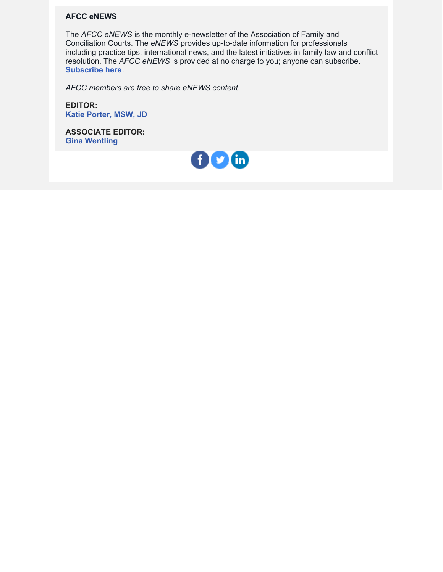#### **AFCC eNEWS**

The *AFCC eNEWS* is the monthly e-newsletter of the Association of Family and Conciliation Courts. The *eNEWS* provides up-to-date information for professionals including practice tips, international news, and the latest initiatives in family law and conflict resolution. The *AFCC eNEWS* is provided at no charge to you; anyone can subscribe. **[Subscribe](http://www.afccnet.org/Resource-Center/AFCC-eNEWS) here**.

*AFCC members are free to share eNEWS content.*

**EDITOR: Katie [Porter,](mailto:kporter@afccnet.org) MSW, JD**

**ASSOCIATE EDITOR: Gina [Wentling](mailto:gwentling@afccnet.org)**

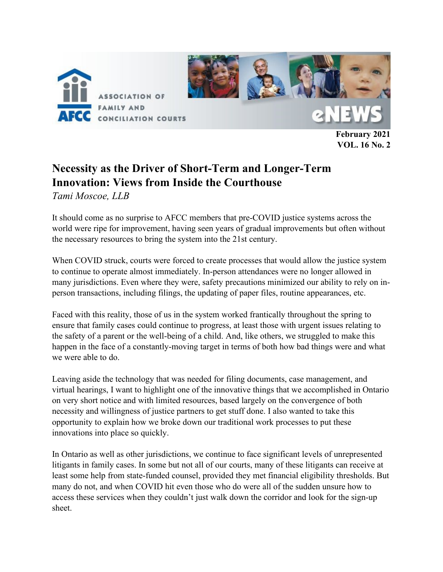

**February 2021 VOL. 16 No. 2**

# **Necessity as the Driver of Short-Term and Longer-Term Innovation: Views from Inside the Courthouse** *Tami Moscoe, LLB*

It should come as no surprise to AFCC members that pre-COVID justice systems across the world were ripe for improvement, having seen years of gradual improvements but often without the necessary resources to bring the system into the 21st century.

When COVID struck, courts were forced to create processes that would allow the justice system to continue to operate almost immediately. In-person attendances were no longer allowed in many jurisdictions. Even where they were, safety precautions minimized our ability to rely on inperson transactions, including filings, the updating of paper files, routine appearances, etc.

Faced with this reality, those of us in the system worked frantically throughout the spring to ensure that family cases could continue to progress, at least those with urgent issues relating to the safety of a parent or the well-being of a child. And, like others, we struggled to make this happen in the face of a constantly-moving target in terms of both how bad things were and what we were able to do.

Leaving aside the technology that was needed for filing documents, case management, and virtual hearings, I want to highlight one of the innovative things that we accomplished in Ontario on very short notice and with limited resources, based largely on the convergence of both necessity and willingness of justice partners to get stuff done. I also wanted to take this opportunity to explain how we broke down our traditional work processes to put these innovations into place so quickly.

In Ontario as well as other jurisdictions, we continue to face significant levels of unrepresented litigants in family cases. In some but not all of our courts, many of these litigants can receive at least some help from state-funded counsel, provided they met financial eligibility thresholds. But many do not, and when COVID hit even those who do were all of the sudden unsure how to access these services when they couldn't just walk down the corridor and look for the sign-up sheet.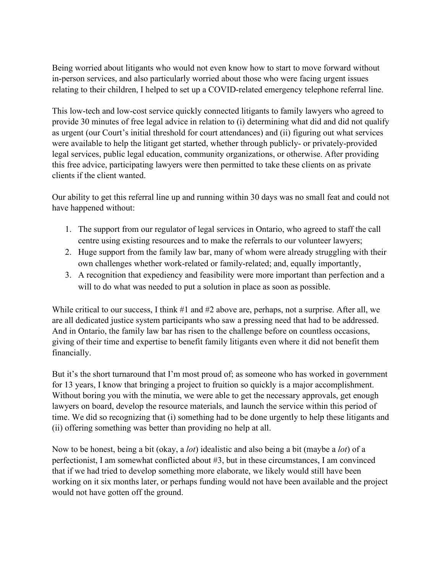Being worried about litigants who would not even know how to start to move forward without in-person services, and also particularly worried about those who were facing urgent issues relating to their children, I helped to set up a COVID-related emergency telephone referral line.

This low-tech and low-cost service quickly connected litigants to family lawyers who agreed to provide 30 minutes of free legal advice in relation to (i) determining what did and did not qualify as urgent (our Court's initial threshold for court attendances) and (ii) figuring out what services were available to help the litigant get started, whether through publicly- or privately-provided legal services, public legal education, community organizations, or otherwise. After providing this free advice, participating lawyers were then permitted to take these clients on as private clients if the client wanted.

Our ability to get this referral line up and running within 30 days was no small feat and could not have happened without:

- 1. The support from our regulator of legal services in Ontario, who agreed to staff the call centre using existing resources and to make the referrals to our volunteer lawyers;
- 2. Huge support from the family law bar, many of whom were already struggling with their own challenges whether work-related or family-related; and, equally importantly,
- 3. A recognition that expediency and feasibility were more important than perfection and a will to do what was needed to put a solution in place as soon as possible.

While critical to our success, I think #1 and #2 above are, perhaps, not a surprise. After all, we are all dedicated justice system participants who saw a pressing need that had to be addressed. And in Ontario, the family law bar has risen to the challenge before on countless occasions, giving of their time and expertise to benefit family litigants even where it did not benefit them financially.

But it's the short turnaround that I'm most proud of; as someone who has worked in government for 13 years, I know that bringing a project to fruition so quickly is a major accomplishment. Without boring you with the minutia, we were able to get the necessary approvals, get enough lawyers on board, develop the resource materials, and launch the service within this period of time. We did so recognizing that (i) something had to be done urgently to help these litigants and (ii) offering something was better than providing no help at all.

Now to be honest, being a bit (okay, a *lot*) idealistic and also being a bit (maybe a *lot*) of a perfectionist, I am somewhat conflicted about #3, but in these circumstances, I am convinced that if we had tried to develop something more elaborate, we likely would still have been working on it six months later, or perhaps funding would not have been available and the project would not have gotten off the ground.